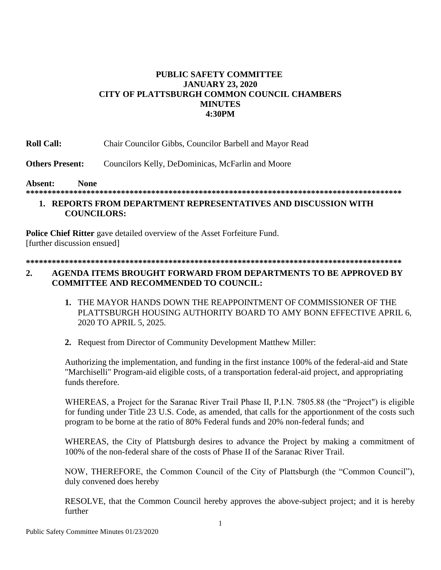## **PUBLIC SAFETY COMMITTEE JANUARY 23, 2020 CITY OF PLATTSBURGH COMMON COUNCIL CHAMBERS MINUTES 4:30PM**

**Roll Call:** Chair Councilor Gibbs, Councilor Barbell and Mayor Read

**Others Present:** Councilors Kelly, DeDominicas, McFarlin and Moore

#### **Absent: None**

**\*\*\*\*\*\*\*\*\*\*\*\*\*\*\*\*\*\*\*\*\*\*\*\*\*\*\*\*\*\*\*\*\*\*\*\*\*\*\*\*\*\*\*\*\*\*\*\*\*\*\*\*\*\*\*\*\*\*\*\*\*\*\*\*\*\*\*\*\*\*\*\*\*\*\*\*\*\*\*\*\*\*\*\*\*\*\***

### **1. REPORTS FROM DEPARTMENT REPRESENTATIVES AND DISCUSSION WITH COUNCILORS:**

**Police Chief Ritter** gave detailed overview of the Asset Forfeiture Fund. [further discussion ensued]

**\*\*\*\*\*\*\*\*\*\*\*\*\*\*\*\*\*\*\*\*\*\*\*\*\*\*\*\*\*\*\*\*\*\*\*\*\*\*\*\*\*\*\*\*\*\*\*\*\*\*\*\*\*\*\*\*\*\*\*\*\*\*\*\*\*\*\*\*\*\*\*\*\*\*\*\*\*\*\*\*\*\*\*\*\*\*\***

### **2. AGENDA ITEMS BROUGHT FORWARD FROM DEPARTMENTS TO BE APPROVED BY COMMITTEE AND RECOMMENDED TO COUNCIL:**

- **1.** THE MAYOR HANDS DOWN THE REAPPOINTMENT OF COMMISSIONER OF THE PLATTSBURGH HOUSING AUTHORITY BOARD TO AMY BONN EFFECTIVE APRIL 6, 2020 TO APRIL 5, 2025.
- **2.** Request from Director of Community Development Matthew Miller:

Authorizing the implementation, and funding in the first instance 100% of the federal-aid and State "Marchiselli" Program-aid eligible costs, of a transportation federal-aid project, and appropriating funds therefore.

WHEREAS, a Project for the Saranac River Trail Phase II, P.I.N. 7805.88 (the "Project") is eligible for funding under Title 23 U.S. Code, as amended, that calls for the apportionment of the costs such program to be borne at the ratio of 80% Federal funds and 20% non-federal funds; and

WHEREAS, the City of Plattsburgh desires to advance the Project by making a commitment of 100% of the non-federal share of the costs of Phase II of the Saranac River Trail.

NOW, THEREFORE, the Common Council of the City of Plattsburgh (the "Common Council"), duly convened does hereby

RESOLVE, that the Common Council hereby approves the above-subject project; and it is hereby further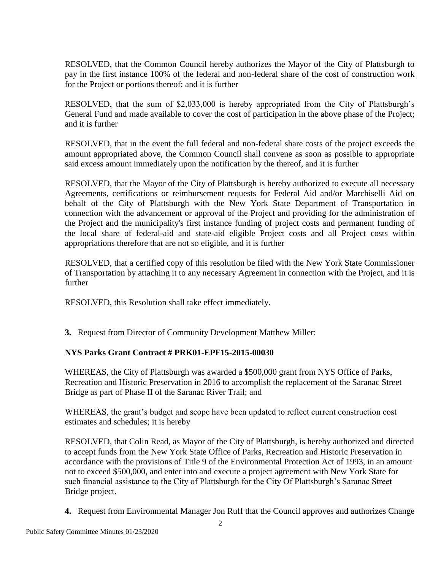RESOLVED, that the Common Council hereby authorizes the Mayor of the City of Plattsburgh to pay in the first instance 100% of the federal and non-federal share of the cost of construction work for the Project or portions thereof; and it is further

RESOLVED, that the sum of \$2,033,000 is hereby appropriated from the City of Plattsburgh's General Fund and made available to cover the cost of participation in the above phase of the Project; and it is further

RESOLVED, that in the event the full federal and non-federal share costs of the project exceeds the amount appropriated above, the Common Council shall convene as soon as possible to appropriate said excess amount immediately upon the notification by the thereof, and it is further

RESOLVED, that the Mayor of the City of Plattsburgh is hereby authorized to execute all necessary Agreements, certifications or reimbursement requests for Federal Aid and/or Marchiselli Aid on behalf of the City of Plattsburgh with the New York State Department of Transportation in connection with the advancement or approval of the Project and providing for the administration of the Project and the municipality's first instance funding of project costs and permanent funding of the local share of federal-aid and state-aid eligible Project costs and all Project costs within appropriations therefore that are not so eligible, and it is further

RESOLVED, that a certified copy of this resolution be filed with the New York State Commissioner of Transportation by attaching it to any necessary Agreement in connection with the Project, and it is further

RESOLVED, this Resolution shall take effect immediately.

**3.** Request from Director of Community Development Matthew Miller:

# **NYS Parks Grant Contract # PRK01-EPF15-2015-00030**

WHEREAS, the City of Plattsburgh was awarded a \$500,000 grant from NYS Office of Parks, Recreation and Historic Preservation in 2016 to accomplish the replacement of the Saranac Street Bridge as part of Phase II of the Saranac River Trail; and

WHEREAS, the grant's budget and scope have been updated to reflect current construction cost estimates and schedules; it is hereby

RESOLVED, that Colin Read, as Mayor of the City of Plattsburgh, is hereby authorized and directed to accept funds from the New York State Office of Parks, Recreation and Historic Preservation in accordance with the provisions of Title 9 of the Environmental Protection Act of 1993, in an amount not to exceed \$500,000, and enter into and execute a project agreement with New York State for such financial assistance to the City of Plattsburgh for the City Of Plattsburgh's Saranac Street Bridge project.

**4.** Request from Environmental Manager Jon Ruff that the Council approves and authorizes Change